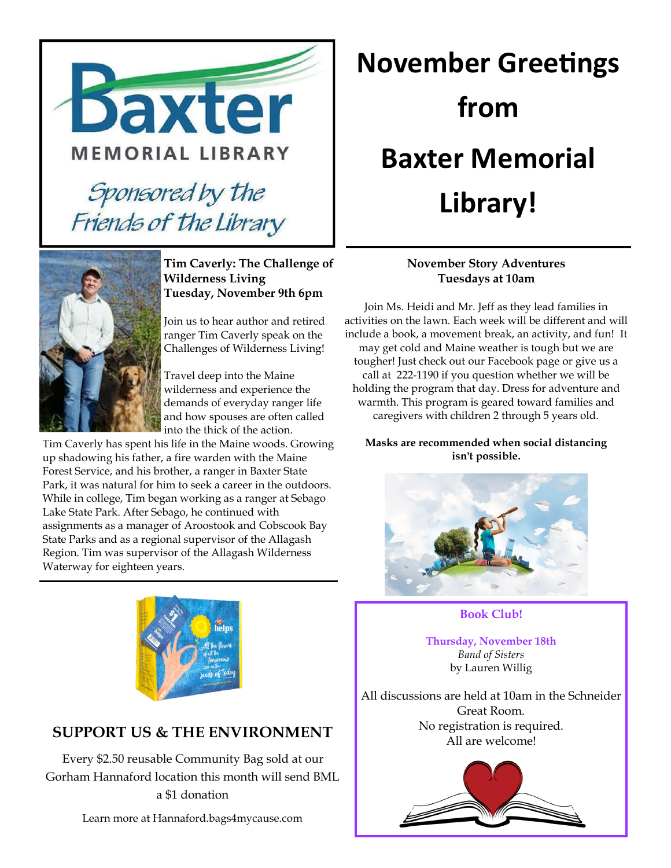



#### **Tim Caverly: The Challenge of Wilderness Living Tuesday, November 9th 6pm**

Join us to hear author and retired ranger Tim Caverly speak on the Challenges of Wilderness Living!

Travel deep into the Maine wilderness and experience the demands of everyday ranger life and how spouses are often called into the thick of the action.

Tim Caverly has spent his life in the Maine woods. Growing up shadowing his father, a fire warden with the Maine Forest Service, and his brother, a ranger in Baxter State Park, it was natural for him to seek a career in the outdoors. While in college, Tim began working as a ranger at Sebago Lake State Park. After Sebago, he continued with assignments as a manager of Aroostook and Cobscook Bay State Parks and as a regional supervisor of the Allagash Region. Tim was supervisor of the Allagash Wilderness Waterway for eighteen years.

# **November Greetings from Baxter Memorial Library!**

#### **November Story Adventures Tuesdays at 10am**

Join Ms. Heidi and Mr. Jeff as they lead families in activities on the lawn. Each week will be different and will include a book, a movement break, an activity, and fun! It may get cold and Maine weather is tough but we are tougher! Just check out our Facebook page or give us a call at 222-1190 if you question whether we will be holding the program that day. Dress for adventure and warmth. This program is geared toward families and caregivers with children 2 through 5 years old.

**Masks are recommended when social distancing isn't possible.**





**Thursday, November 18th** *Band of Sisters* by Lauren Willig

All discussions are held at 10am in the Schneider Great Room. No registration is required. All are welcome!





## **SUPPORT US & THE ENVIRONMENT**

Every \$2.50 reusable Community Bag sold at our Gorham Hannaford location this month will send BML a \$1 donation

Learn more at Hannaford.bags4mycause.com